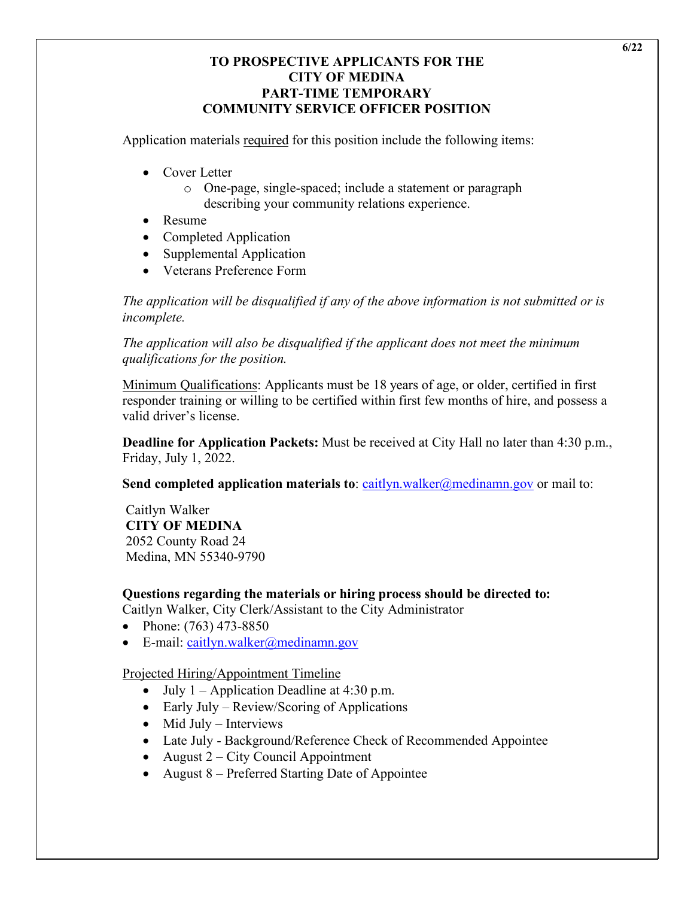#### **TO PROSPECTIVE APPLICANTS FOR THE CITY OF MEDINA PART-TIME TEMPORARY COMMUNITY SERVICE OFFICER POSITION**

Application materials required for this position include the following items:

- Cover Letter
	- o One-page, single-spaced; include a statement or paragraph describing your community relations experience.
- Resume
- Completed Application
- Supplemental Application
- Veterans Preference Form

*The application will be disqualified if any of the above information is not submitted or is incomplete.* 

*The application will also be disqualified if the applicant does not meet the minimum qualifications for the position.*

Minimum Qualifications: Applicants must be 18 years of age, or older, certified in first responder training or willing to be certified within first few months of hire, and possess a valid driver's license.

**Deadline for Application Packets:** Must be received at City Hall no later than 4:30 p.m., Friday, July 1, 2022.

**Send completed application materials to:** caitlyn.walker@medinamn.gov or mail to:

# Caitlyn Walker **CITY OF MEDINA** 2052 County Road 24

Medina, MN 55340-9790

**Questions regarding the materials or hiring process should be directed to:**

Caitlyn Walker, City Clerk/Assistant to the City Administrator

- Phone: (763) 473-8850
- E-mail: caitlyn.walker@medinamn.gov

Projected Hiring/Appointment Timeline

- July  $1 -$  Application Deadline at 4:30 p.m.
- Early July Review/Scoring of Applications
- Mid July Interviews
- Late July Background/Reference Check of Recommended Appointee
- August 2 City Council Appointment
- August 8 Preferred Starting Date of Appointee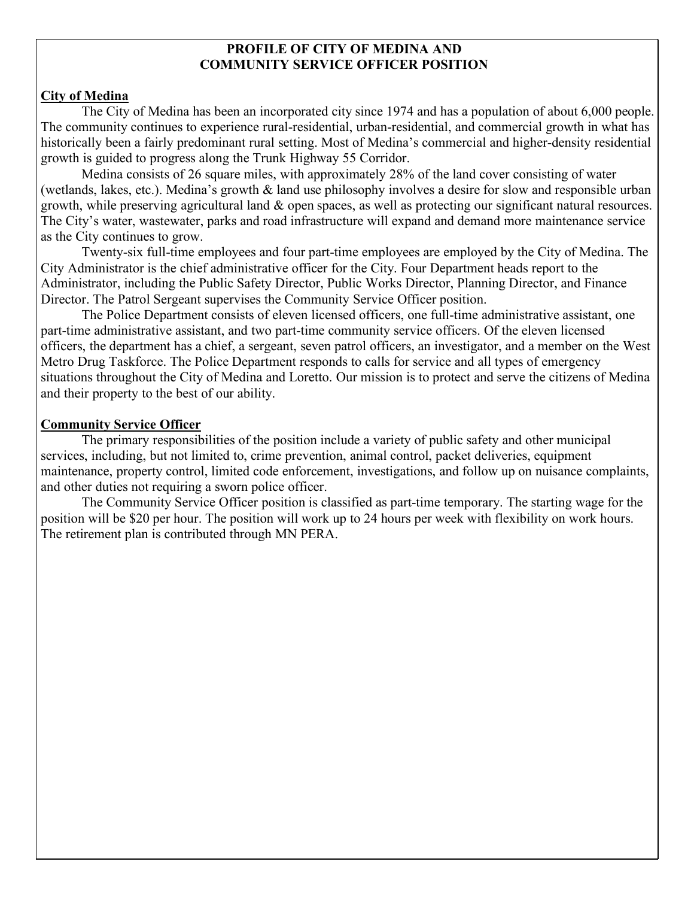#### **PROFILE OF CITY OF MEDINA AND COMMUNITY SERVICE OFFICER POSITION**

#### **City of Medina**

The City of Medina has been an incorporated city since 1974 and has a population of about 6,000 people. The community continues to experience rural-residential, urban-residential, and commercial growth in what has historically been a fairly predominant rural setting. Most of Medina's commercial and higher-density residential growth is guided to progress along the Trunk Highway 55 Corridor.

Medina consists of 26 square miles, with approximately 28% of the land cover consisting of water (wetlands, lakes, etc.). Medina's growth & land use philosophy involves a desire for slow and responsible urban growth, while preserving agricultural land & open spaces, as well as protecting our significant natural resources. The City's water, wastewater, parks and road infrastructure will expand and demand more maintenance service as the City continues to grow.

Twenty-six full-time employees and four part-time employees are employed by the City of Medina. The City Administrator is the chief administrative officer for the City. Four Department heads report to the Administrator, including the Public Safety Director, Public Works Director, Planning Director, and Finance Director. The Patrol Sergeant supervises the Community Service Officer position.

The Police Department consists of eleven licensed officers, one full-time administrative assistant, one part-time administrative assistant, and two part-time community service officers. Of the eleven licensed officers, the department has a chief, a sergeant, seven patrol officers, an investigator, and a member on the West Metro Drug Taskforce. The Police Department responds to calls for service and all types of emergency situations throughout the City of Medina and Loretto. Our mission is to protect and serve the citizens of Medina and their property to the best of our ability.

## **Community Service Officer**

The primary responsibilities of the position include a variety of public safety and other municipal services, including, but not limited to, crime prevention, animal control, packet deliveries, equipment maintenance, property control, limited code enforcement, investigations, and follow up on nuisance complaints, and other duties not requiring a sworn police officer.

The Community Service Officer position is classified as part-time temporary. The starting wage for the position will be \$20 per hour. The position will work up to 24 hours per week with flexibility on work hours. The retirement plan is contributed through MN PERA.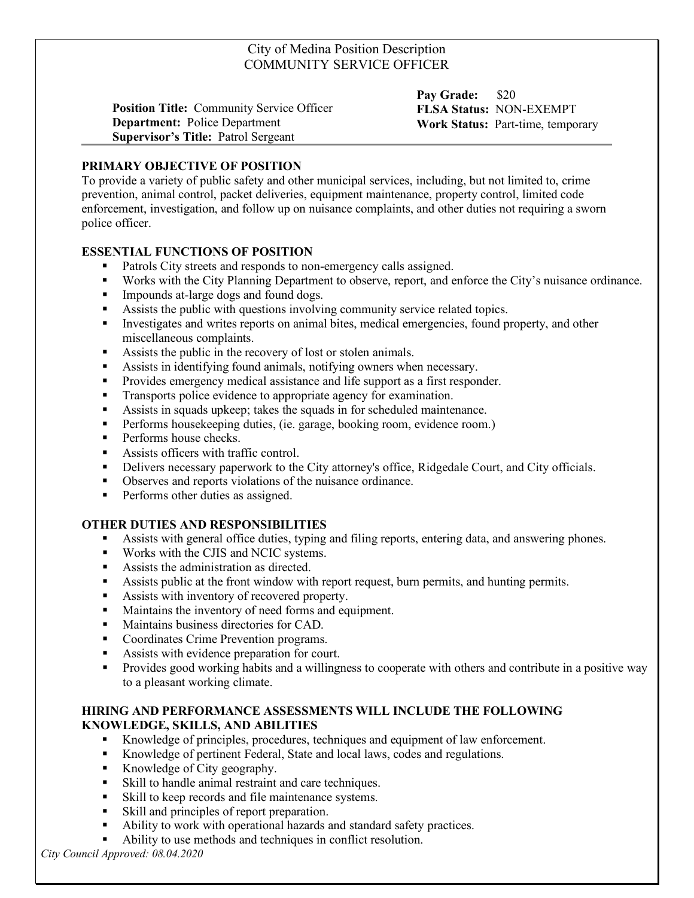#### City of Medina Position Description COMMUNITY SERVICE OFFICER

**Position Title:** Community Service Officer **Department:** Police Department **Supervisor's Title:** Patrol Sergeant

**Pay Grade:** \$20 **FLSA Status:** NON-EXEMPT **Work Status:** Part-time, temporary

#### **PRIMARY OBJECTIVE OF POSITION**

To provide a variety of public safety and other municipal services, including, but not limited to, crime prevention, animal control, packet deliveries, equipment maintenance, property control, limited code enforcement, investigation, and follow up on nuisance complaints, and other duties not requiring a sworn police officer.

#### **ESSENTIAL FUNCTIONS OF POSITION**

- Patrols City streets and responds to non-emergency calls assigned.
- Works with the City Planning Department to observe, report, and enforce the City's nuisance ordinance.
- **Impounds at-large dogs and found dogs.**
- Assists the public with questions involving community service related topics.
- Investigates and writes reports on animal bites, medical emergencies, found property, and other miscellaneous complaints.
- Assists the public in the recovery of lost or stolen animals.
- Assists in identifying found animals, notifying owners when necessary.
- **Provides emergency medical assistance and life support as a first responder.**
- **Transports police evidence to appropriate agency for examination.**
- Assists in squads upkeep; takes the squads in for scheduled maintenance.
- **Performs housekeeping duties, (ie. garage, booking room, evidence room.)**
- **Performs house checks.**
- Assists officers with traffic control.
- Delivers necessary paperwork to the City attorney's office, Ridgedale Court, and City officials.
- Observes and reports violations of the nuisance ordinance.
- **Performs other duties as assigned.**

#### **OTHER DUTIES AND RESPONSIBILITIES**

- Assists with general office duties, typing and filing reports, entering data, and answering phones.
- **Works with the CJIS and NCIC systems.**
- Assists the administration as directed.
- Assists public at the front window with report request, burn permits, and hunting permits.
- Assists with inventory of recovered property.
- Maintains the inventory of need forms and equipment.
- **Maintains business directories for CAD.**
- Coordinates Crime Prevention programs.
- Assists with evidence preparation for court.
- **Provides good working habits and a willingness to cooperate with others and contribute in a positive way** to a pleasant working climate.

#### **HIRING AND PERFORMANCE ASSESSMENTS WILL INCLUDE THE FOLLOWING KNOWLEDGE, SKILLS, AND ABILITIES**

- Knowledge of principles, procedures, techniques and equipment of law enforcement.
- Knowledge of pertinent Federal, State and local laws, codes and regulations.
- Knowledge of City geography.
- Skill to handle animal restraint and care techniques.
- Skill to keep records and file maintenance systems.
- Skill and principles of report preparation.
- Ability to work with operational hazards and standard safety practices.
- Ability to use methods and techniques in conflict resolution.

*City Council Approved: 08.04.2020*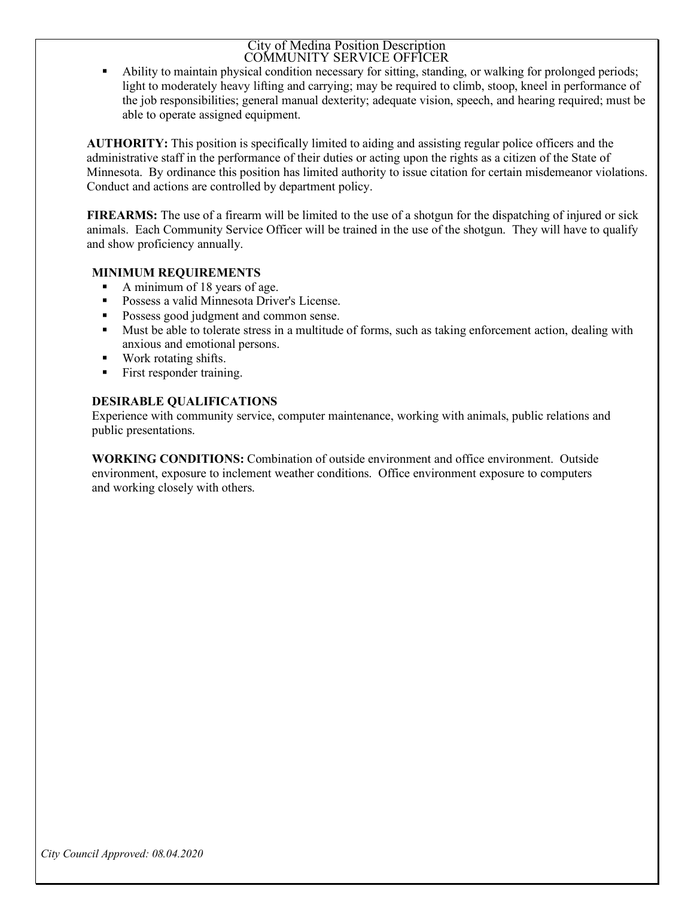#### City of Medina Position Description COMMUNITY SERVICE OFFICER

 Ability to maintain physical condition necessary for sitting, standing, or walking for prolonged periods; light to moderately heavy lifting and carrying; may be required to climb, stoop, kneel in performance of the job responsibilities; general manual dexterity; adequate vision, speech, and hearing required; must be able to operate assigned equipment.

**AUTHORITY:** This position is specifically limited to aiding and assisting regular police officers and the administrative staff in the performance of their duties or acting upon the rights as a citizen of the State of Minnesota. By ordinance this position has limited authority to issue citation for certain misdemeanor violations. Conduct and actions are controlled by department policy.

**FIREARMS:** The use of a firearm will be limited to the use of a shotgun for the dispatching of injured or sick animals. Each Community Service Officer will be trained in the use of the shotgun. They will have to qualify and show proficiency annually.

#### **MINIMUM REQUIREMENTS**

- A minimum of 18 years of age.
- **Possess a valid Minnesota Driver's License.**
- **Possess good judgment and common sense.**
- Must be able to tolerate stress in a multitude of forms, such as taking enforcement action, dealing with anxious and emotional persons.
- Work rotating shifts.
- First responder training.

## **DESIRABLE QUALIFICATIONS**

Experience with community service, computer maintenance, working with animals, public relations and public presentations.

**WORKING CONDITIONS:** Combination of outside environment and office environment. Outside environment, exposure to inclement weather conditions. Office environment exposure to computers and working closely with others.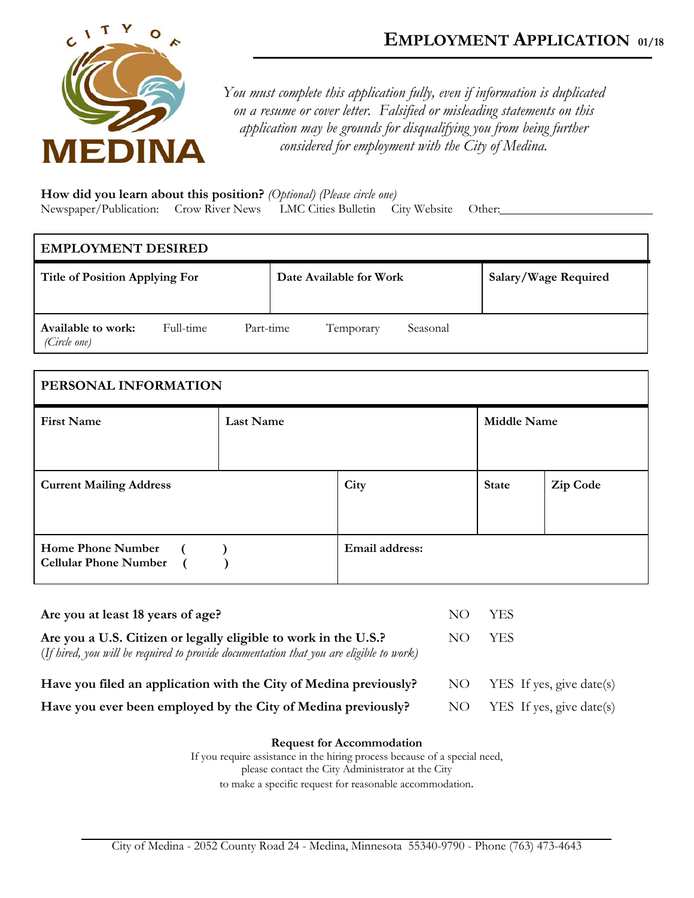

*You must complete this application fully, even if information is duplicated on a resume or cover letter. Falsified or misleading statements on this application may be grounds for disqualifying you from being further considered for employment with the City of Medina.* 

**How did you learn about this position?** *(Optional) (Please circle one)* Newspaper/Publication: Crow River News LMC Cities Bulletin City Website Other:

| <b>EMPLOYMENT DESIRED</b>          |           |           |  |                         |          |                      |
|------------------------------------|-----------|-----------|--|-------------------------|----------|----------------------|
| Title of Position Applying For     |           |           |  | Date Available for Work |          | Salary/Wage Required |
| Available to work:<br>(Circle one) | Full-time | Part-time |  | Temporary               | Seasonal |                      |

| PERSONAL INFORMATION                                     |                  |                |                    |          |
|----------------------------------------------------------|------------------|----------------|--------------------|----------|
| <b>First Name</b>                                        | <b>Last Name</b> |                | <b>Middle Name</b> |          |
| <b>Current Mailing Address</b>                           |                  | City           | <b>State</b>       | Zip Code |
| <b>Home Phone Number</b><br><b>Cellular Phone Number</b> |                  | Email address: |                    |          |

| Are you at least 18 years of age?                                                                                                                          | NO. | -YES                          |
|------------------------------------------------------------------------------------------------------------------------------------------------------------|-----|-------------------------------|
| Are you a U.S. Citizen or legally eligible to work in the U.S.?<br>(If hired, you will be required to provide documentation that you are eligible to work) | NO. | YES.                          |
| Have you filed an application with the City of Medina previously?                                                                                          |     | NO $YES$ If yes, give date(s) |
| Have you ever been employed by the City of Medina previously?                                                                                              | NO. | YES If yes, give date(s)      |

| <b>Request for Accommodation</b>                                           |
|----------------------------------------------------------------------------|
| If you require assistance in the hiring process because of a special need, |
| please contact the City Administrator at the City                          |
| to make a specific request for reasonable accommodation.                   |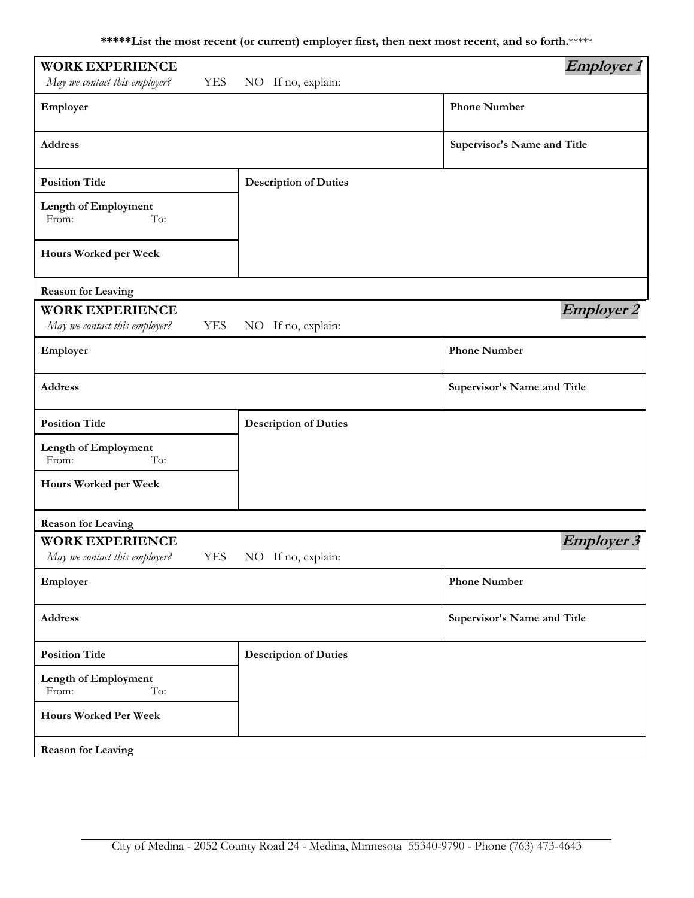**\*\*\*\*\*List the most recent (or current) employer first, then next most recent, and so forth.**\*\*\*\*\*

| <b>WORK EXPERIENCE</b>                                                |                              | <i>Employer 1</i>           |
|-----------------------------------------------------------------------|------------------------------|-----------------------------|
| May we contact this employer?<br><b>YES</b>                           | NO If no, explain:           |                             |
| Employer                                                              |                              | <b>Phone Number</b>         |
| <b>Address</b>                                                        |                              | Supervisor's Name and Title |
| <b>Position Title</b>                                                 | <b>Description of Duties</b> |                             |
| Length of Employment<br>From:<br>To:                                  |                              |                             |
| Hours Worked per Week                                                 |                              |                             |
| <b>Reason for Leaving</b>                                             |                              |                             |
| <b>WORK EXPERIENCE</b><br>May we contact this employer?<br><b>YES</b> | NO If no, explain:           | <b>Employer 2</b>           |
| Employer                                                              |                              | <b>Phone Number</b>         |
| <b>Address</b>                                                        |                              | Supervisor's Name and Title |
| <b>Position Title</b>                                                 | <b>Description of Duties</b> |                             |
| Length of Employment<br>From:<br>To:                                  |                              |                             |
| Hours Worked per Week                                                 |                              |                             |
| <b>Reason for Leaving</b>                                             |                              |                             |
| <b>WORK EXPERIENCE</b><br>May we contact this employer?<br><b>YES</b> | NO If no, explain:           | <b>Employer 3</b>           |
| Employer                                                              |                              | <b>Phone Number</b>         |
| Address                                                               |                              | Supervisor's Name and Title |
| <b>Position Title</b>                                                 | <b>Description of Duties</b> |                             |
| Length of Employment<br>From:<br>To:                                  |                              |                             |
| Hours Worked Per Week                                                 |                              |                             |
| <b>Reason for Leaving</b>                                             |                              |                             |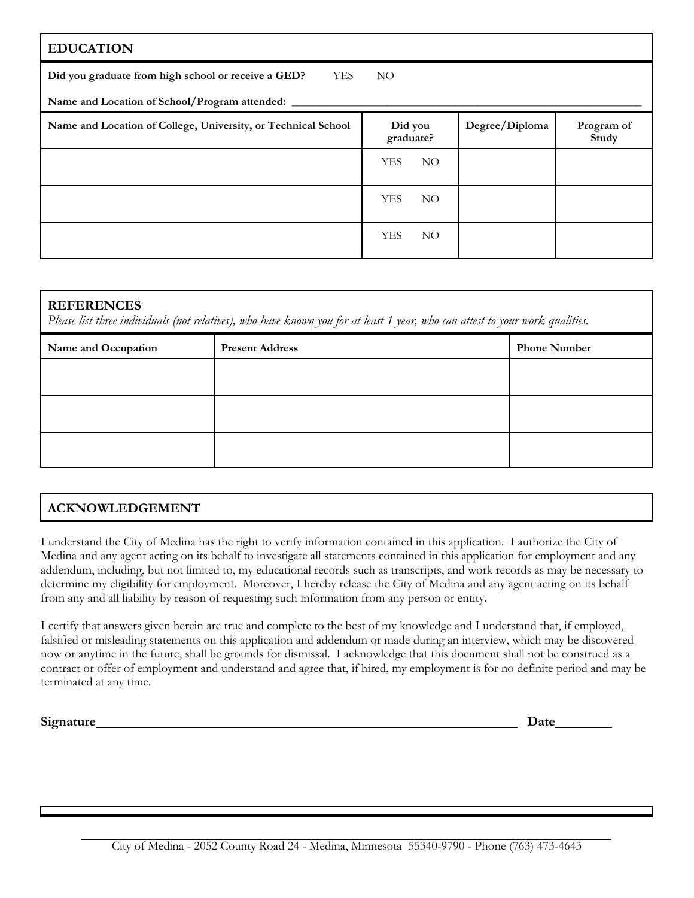| <b>EDUCATION</b>                                              |                               |                |                     |
|---------------------------------------------------------------|-------------------------------|----------------|---------------------|
| Did you graduate from high school or receive a GED?<br>YES    | NO.                           |                |                     |
| Name and Location of School/Program attended: _____           |                               |                |                     |
| Name and Location of College, University, or Technical School | Did you<br>graduate?          | Degree/Diploma | Program of<br>Study |
|                                                               | <b>YES</b><br>NO.             |                |                     |
|                                                               | <b>YES</b><br>NO <sub>1</sub> |                |                     |
|                                                               | <b>YES</b><br>NO.             |                |                     |

## **REFERENCES**

*Please list three individuals (not relatives), who have known you for at least 1 year, who can attest to your work qualities.*

| Name and Occupation | <b>Present Address</b> | <b>Phone Number</b> |
|---------------------|------------------------|---------------------|
|                     |                        |                     |
|                     |                        |                     |
|                     |                        |                     |
|                     |                        |                     |
|                     |                        |                     |

# **ACKNOWLEDGEMENT**

I understand the City of Medina has the right to verify information contained in this application. I authorize the City of Medina and any agent acting on its behalf to investigate all statements contained in this application for employment and any addendum, including, but not limited to, my educational records such as transcripts, and work records as may be necessary to determine my eligibility for employment. Moreover, I hereby release the City of Medina and any agent acting on its behalf from any and all liability by reason of requesting such information from any person or entity.

I certify that answers given herein are true and complete to the best of my knowledge and I understand that, if employed, falsified or misleading statements on this application and addendum or made during an interview, which may be discovered now or anytime in the future, shall be grounds for dismissal. I acknowledge that this document shall not be construed as a contract or offer of employment and understand and agree that, if hired, my employment is for no definite period and may be terminated at any time.

Signature Date **Date**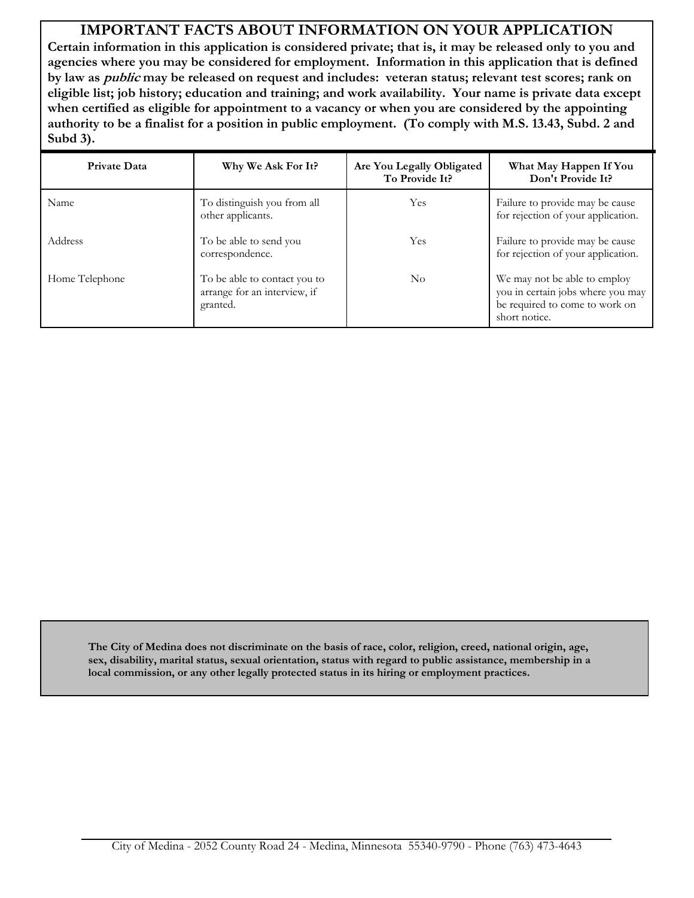# **IMPORTANT FACTS ABOUT INFORMATION ON YOUR APPLICATION**

**Certain information in this application is considered private; that is, it may be released only to you and agencies where you may be considered for employment. Information in this application that is defined by law as public may be released on request and includes: veteran status; relevant test scores; rank on eligible list; job history; education and training; and work availability. Your name is private data except when certified as eligible for appointment to a vacancy or when you are considered by the appointing authority to be a finalist for a position in public employment. (To comply with M.S. 13.43, Subd. 2 and Subd 3).**

| <b>Private Data</b> | Why We Ask For It?                                                       | Are You Legally Obligated<br>To Provide It? | What May Happen If You<br>Don't Provide It?                                                                          |
|---------------------|--------------------------------------------------------------------------|---------------------------------------------|----------------------------------------------------------------------------------------------------------------------|
| Name                | To distinguish you from all<br>other applicants.                         | Yes                                         | Failure to provide may be cause<br>for rejection of your application.                                                |
| Address             | To be able to send you<br>correspondence.                                | Yes                                         | Failure to provide may be cause<br>for rejection of your application.                                                |
| Home Telephone      | To be able to contact you to<br>arrange for an interview, if<br>granted. | No                                          | We may not be able to employ<br>you in certain jobs where you may<br>be required to come to work on<br>short notice. |

**The City of Medina does not discriminate on the basis of race, color, religion, creed, national origin, age, sex, disability, marital status, sexual orientation, status with regard to public assistance, membership in a local commission, or any other legally protected status in its hiring or employment practices.**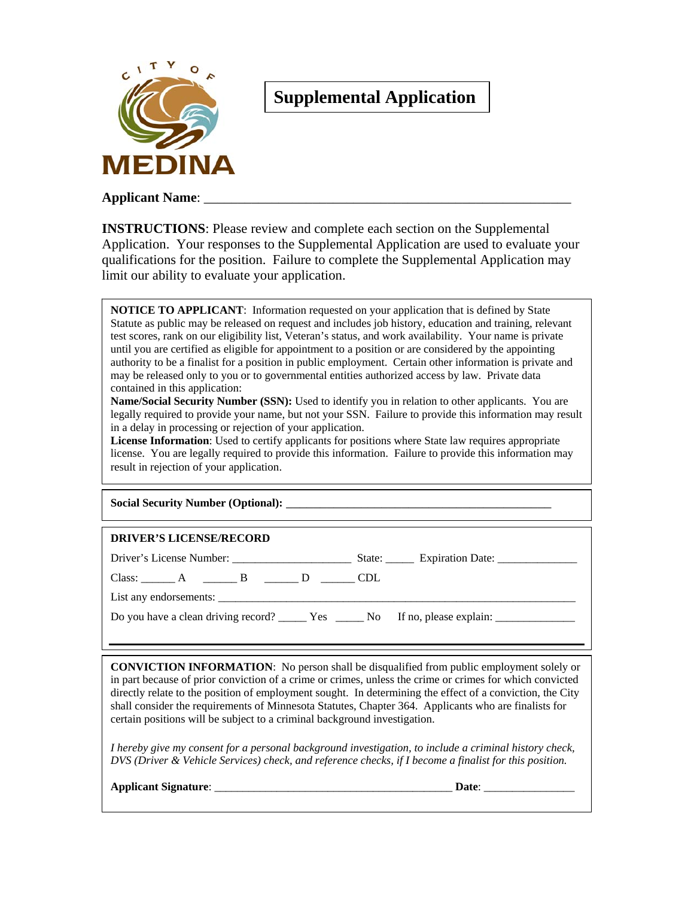

# **Supplemental Application**

**Applicant Name:** 

**INSTRUCTIONS**: Please review and complete each section on the Supplemental Application. Your responses to the Supplemental Application are used to evaluate your qualifications for the position. Failure to complete the Supplemental Application may limit our ability to evaluate your application.

**NOTICE TO APPLICANT**: Information requested on your application that is defined by State Statute as public may be released on request and includes job history, education and training, relevant test scores, rank on our eligibility list, Veteran's status, and work availability. Your name is private until you are certified as eligible for appointment to a position or are considered by the appointing authority to be a finalist for a position in public employment. Certain other information is private and may be released only to you or to governmental entities authorized access by law. Private data contained in this application:

**Name/Social Security Number (SSN):** Used to identify you in relation to other applicants. You are legally required to provide your name, but not your SSN. Failure to provide this information may result in a delay in processing or rejection of your application.

License Information: Used to certify applicants for positions where State law requires appropriate license. You are legally required to provide this information. Failure to provide this information may result in rejection of your application.

| <b>Social Security Number (Optional):</b> |  |
|-------------------------------------------|--|
|-------------------------------------------|--|

#### **DRIVER'S LICENSE/RECORD**

Driver's License Number: \_\_\_\_\_\_\_\_\_\_\_\_\_\_\_\_\_\_\_\_\_ State: \_\_\_\_\_ Expiration Date: \_\_\_\_\_\_\_\_\_\_\_\_\_\_ Class: \_\_\_\_\_\_ A \_\_\_\_\_\_\_ B \_\_\_\_\_\_ D \_\_\_\_\_\_ CDL

List any endorsements:

Do you have a clean driving record? \_\_\_\_\_\_ Yes \_\_\_\_\_\_ No If no, please explain: \_\_\_\_\_\_\_\_

**CONVICTION INFORMATION**: No person shall be disqualified from public employment solely or in part because of prior conviction of a crime or crimes, unless the crime or crimes for which convicted directly relate to the position of employment sought. In determining the effect of a conviction, the City shall consider the requirements of Minnesota Statutes, Chapter 364. Applicants who are finalists for certain positions will be subject to a criminal background investigation.

*I hereby give my consent for a personal background investigation, to include a criminal history check, DVS (Driver & Vehicle Services) check, and reference checks, if I become a finalist for this position.* 

**Applicant Signature**: \_\_\_\_\_\_\_\_\_\_\_\_\_\_\_\_\_\_\_\_\_\_\_\_\_\_\_\_\_\_\_\_\_\_\_\_\_\_\_\_\_\_ **Date**: \_\_\_\_\_\_\_\_\_\_\_\_\_\_\_\_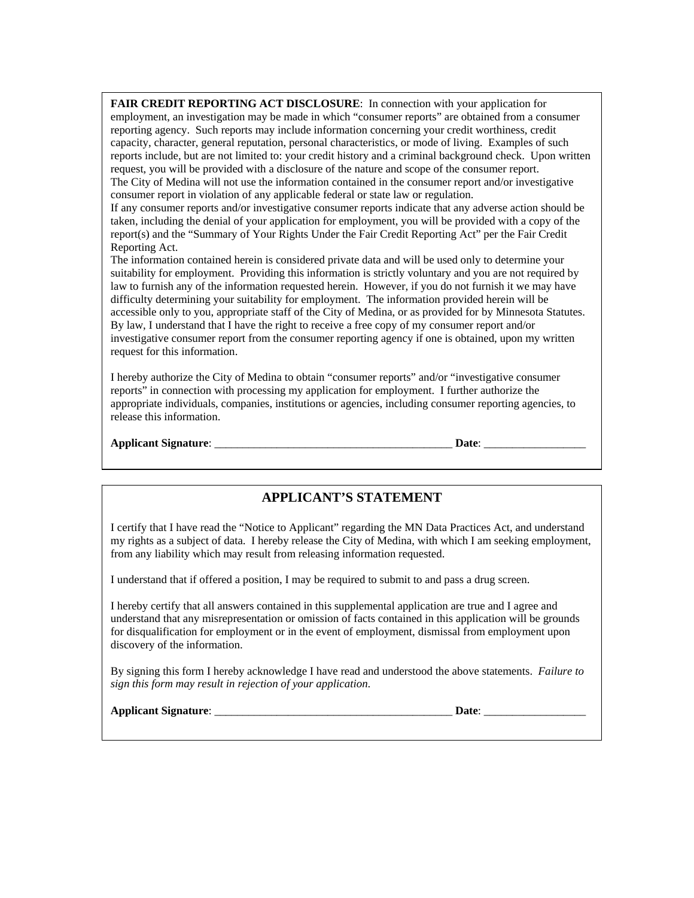**FAIR CREDIT REPORTING ACT DISCLOSURE**: In connection with your application for employment, an investigation may be made in which "consumer reports" are obtained from a consumer reporting agency. Such reports may include information concerning your credit worthiness, credit capacity, character, general reputation, personal characteristics, or mode of living. Examples of such reports include, but are not limited to: your credit history and a criminal background check. Upon written request, you will be provided with a disclosure of the nature and scope of the consumer report. The City of Medina will not use the information contained in the consumer report and/or investigative consumer report in violation of any applicable federal or state law or regulation.

If any consumer reports and/or investigative consumer reports indicate that any adverse action should be taken, including the denial of your application for employment, you will be provided with a copy of the report(s) and the "Summary of Your Rights Under the Fair Credit Reporting Act" per the Fair Credit Reporting Act.

The information contained herein is considered private data and will be used only to determine your suitability for employment. Providing this information is strictly voluntary and you are not required by law to furnish any of the information requested herein. However, if you do not furnish it we may have difficulty determining your suitability for employment. The information provided herein will be accessible only to you, appropriate staff of the City of Medina, or as provided for by Minnesota Statutes. By law, I understand that I have the right to receive a free copy of my consumer report and/or investigative consumer report from the consumer reporting agency if one is obtained, upon my written request for this information.

I hereby authorize the City of Medina to obtain "consumer reports" and/or "investigative consumer reports" in connection with processing my application for employment. I further authorize the appropriate individuals, companies, institutions or agencies, including consumer reporting agencies, to release this information.

#### **Applicant Signature**: \_\_\_\_\_\_\_\_\_\_\_\_\_\_\_\_\_\_\_\_\_\_\_\_\_\_\_\_\_\_\_\_\_\_\_\_\_\_\_\_\_\_ **Date**: \_\_\_\_\_\_\_\_\_\_\_\_\_\_\_\_\_\_

## **APPLICANT'S STATEMENT**

I certify that I have read the "Notice to Applicant" regarding the MN Data Practices Act, and understand my rights as a subject of data. I hereby release the City of Medina, with which I am seeking employment, from any liability which may result from releasing information requested.

I understand that if offered a position, I may be required to submit to and pass a drug screen.

I hereby certify that all answers contained in this supplemental application are true and I agree and understand that any misrepresentation or omission of facts contained in this application will be grounds for disqualification for employment or in the event of employment, dismissal from employment upon discovery of the information.

By signing this form I hereby acknowledge I have read and understood the above statements. *Failure to sign this form may result in rejection of your application*.

|  | <b>Applicant Signature:</b> |
|--|-----------------------------|
|--|-----------------------------|

 $\bf{Date:}$